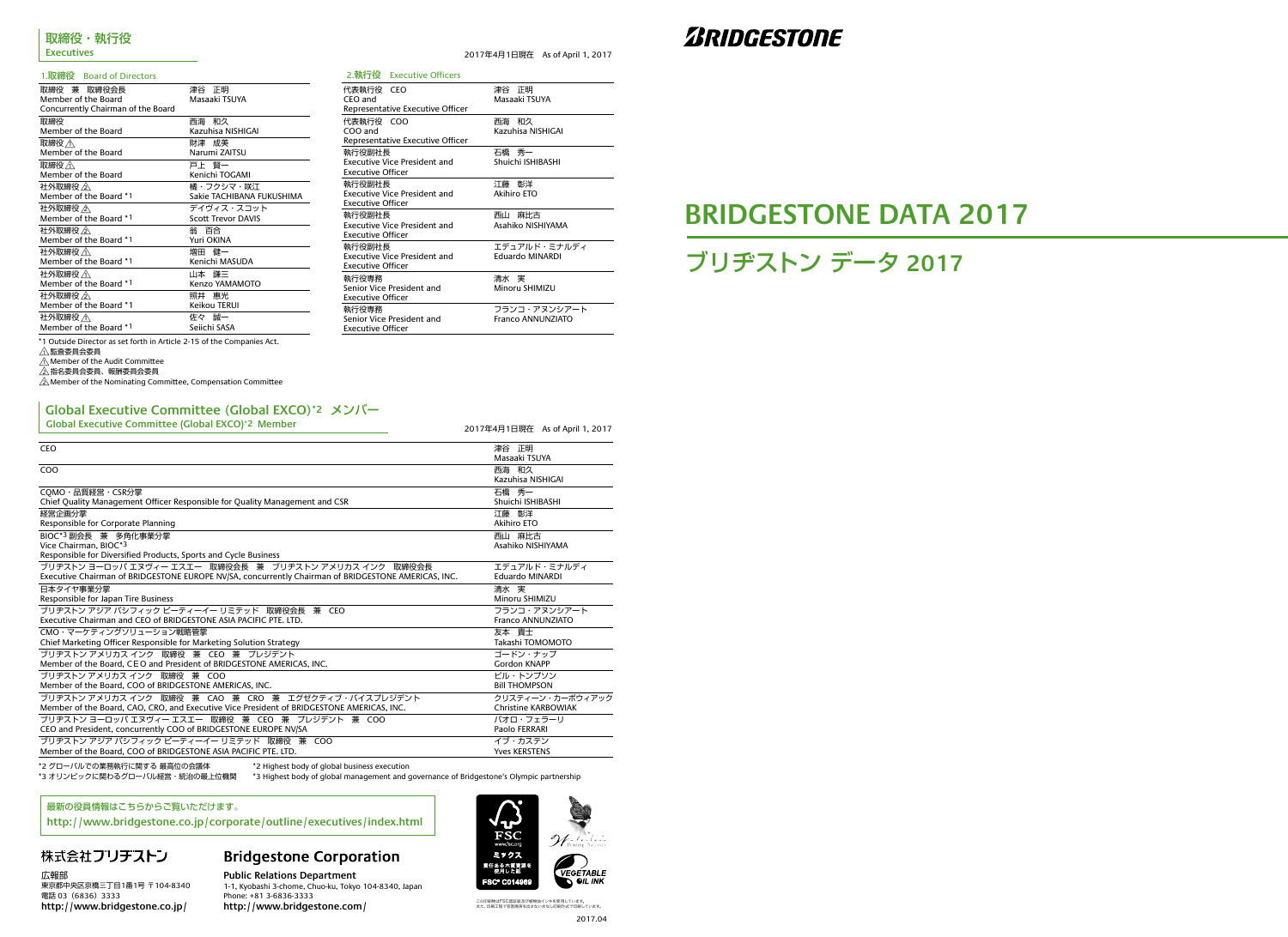2017年4月1日現在 As of April 1, 2017

\*1 Outside Director as set forth in Article 2-15 of the Companies Act.

 $\bigwedge_{\Lambda}$ 監査委員会委員

 $\triangle$ Member of the Audit Committee

△指名委員会委員、報酬委員会委員<br>△

 $\sqrt{2}$  Member of the Nominating Committee, Compensation Committee

\*2 グローバルでの業務執行に関する 最高位の会議体 \*2 Highest body of global business execution

\*3 オリンピックに関わるグローバル経営・統治の最上位機関 \*4 Highest body of global management and governance of Bridgestone's Olympic partnership

ブリヂストン データ **2017**

# **BRIDGESTONE DATA 2017**

#### 1.取締役 Board of Directors

|                                    | 2.執行役 Executive Officers            |                                        |
|------------------------------------|-------------------------------------|----------------------------------------|
| 代表執行役 CEO<br>CEO and               |                                     | 津谷 正明<br>Masaaki TSUYA                 |
|                                    | Representative Executive Officer    |                                        |
| 代表執行役 COO<br>COO and               |                                     | 西海和久<br>Kazuhisa NISHIGAI              |
|                                    | Representative Executive Officer    |                                        |
| 執行役副社長<br><b>Executive Officer</b> | <b>Executive Vice President and</b> | 石橋 秀一<br>Shuichi ISHIBASHI             |
| 執行役副社長<br><b>Executive Officer</b> | <b>Executive Vice President and</b> | 江藤 彰洋<br>Akihiro ETO                   |
| 執行役副社長<br><b>Executive Officer</b> | <b>Executive Vice President and</b> | 麻比古<br>西山<br>Asahiko NISHIYAMA         |
| 執行役副社長<br><b>Executive Officer</b> | <b>Executive Vice President and</b> | エデュアルド・ミナルディ<br><b>Eduardo MINARDI</b> |
| 執行役専務<br><b>Executive Officer</b>  | Senior Vice President and           | 清水 実<br>Minoru SHIMIZU                 |
| 執行役専務<br><b>Executive Officer</b>  | Senior Vice President and           | フランコ・アヌンシアート<br>Franco ANNUNZIATO      |

# **ZBRIDGESTONE**

| Global Executive Committee (Global EXCO) <sup>-2</sup> Member                                                    | 2017年4月1日現在 As of April 1, 2017 |
|------------------------------------------------------------------------------------------------------------------|---------------------------------|
| <b>CEO</b>                                                                                                       | 津谷 正明<br>Masaaki TSUYA          |
| COO                                                                                                              | 西海和久<br>Kazuhisa NISHIGAI       |
| COMO・品質経営・CSR分掌                                                                                                  | 石橋 秀一                           |
| Chief Quality Management Officer Responsible for Quality Management and CSR                                      | Shuichi ISHIBASHI               |
| 経営企画分掌                                                                                                           | 江藤 彰洋                           |
| Responsible for Corporate Planning                                                                               | Akihiro ETO                     |
| BIOC*3 副会長 兼 多角化事業分掌<br>Vice Chairman, BIOC*3<br>Responsible for Diversified Products, Sports and Cycle Business | 西山 麻比古<br>Asahiko NISHIYAMA     |
| ブリヂストン ヨーロッパ エヌヴィー エスエー 取締役会長 兼 ブリヂストン アメリカス インク 取締役会長                                                           | エデュアルド・ミナルディ                    |
| Executive Chairman of BRIDGESTONE EUROPE NV/SA, concurrently Chairman of BRIDGESTONE AMERICAS, INC.              | <b>Eduardo MINARDI</b>          |
| 日本タイヤ事業分掌                                                                                                        | 清水 実                            |
| Responsible for Japan Tire Business                                                                              | Minoru SHIMIZU                  |
| ブリヂストン アジア パシフィック ピーティーイー リミテッド 取締役会長 兼 CEO                                                                      | フランコ・アヌンシアート                    |
| Executive Chairman and CEO of BRIDGESTONE ASIA PACIFIC PTE. LTD.                                                 | Franco ANNUNZIATO               |
| CMO·マーケティングソリューション戦略管掌                                                                                           | 友本 貴士                           |
| Chief Marketing Officer Responsible for Marketing Solution Strategy                                              | Takashi TOMOMOTO                |
| ブリヂストン アメリカス インク 取締役 兼 CEO 兼 プレジデント                                                                              | ゴードン・ナップ                        |
| Member of the Board, CEO and President of BRIDGESTONE AMERICAS, INC.                                             | <b>Gordon KNAPP</b>             |
| ブリヂストン アメリカス インク 取締役 兼 COO                                                                                       | ビル・トンプソン                        |
| Member of the Board, COO of BRIDGESTONE AMERICAS, INC.                                                           | <b>BIII THOMPSON</b>            |
| ブリヂストン アメリカス インク 取締役 兼 CAO 兼 CRO 兼 エグゼクティブ・バイスプレジデント                                                             | クリスティーン・カーボウィアック                |
| Member of the Board, CAO, CRO, and Executive Vice President of BRIDGESTONE AMERICAS, INC.                        | <b>Christine KARBOWIAK</b>      |
| ブリヂストン ヨーロッパ エヌヴィー エスエー 取締役 兼 CEO 兼 プレジデント 兼 COO                                                                 | パオロ・フェラーリ                       |
| CEO and President, concurrently COO of BRIDGESTONE EUROPE NV/SA                                                  | Paolo FERRARI                   |
| ブリヂストン アジア パシフィック ピーティーイー リミテッド 取締役 兼 COO                                                                        | イブ・カステン                         |
| Member of the Board, COO of BRIDGESTONE ASIA PACIFIC PTE, LTD.                                                   | <b>Yves KERSTENS</b>            |

**Public Relations Department** 1-1, Kyobashi 3-chome, Chuo-ku, Tokyo 104-8340, Japan Phone: +81 3-6836-3333 http://www.bridgestone.com/

# ミックス 数任ある木質資<br>使用した額 **VEGETABLE FSC® C014969** OIL INK

この印刷物はFSC認証紙及び植物油インキを使用しています。<br>また、印刷工程で有害廃液を出さない水なし印刷方式で印刷しています。

| 取締役 兼 取締役会長                        | 津谷 正明                     |
|------------------------------------|---------------------------|
| Member of the Board                | Masaaki TSUYA             |
| Concurrently Chairman of the Board |                           |
| 取締役                                | 西海 和久                     |
| Member of the Board                | Kazuhisa NISHIGAI         |
| 取締役 <                              | 財津 成美                     |
| Member of the Board                | Narumi ZAITSU             |
| 取締役 <                              | 戸上 腎一                     |
| Member of the Board                | Kenichi TOGAMI            |
| 社外取締役 /公                           | 橘・フクシマ・咲江                 |
| Member of the Board *1             | Sakie TACHIBANA FUKUSHIMA |
| 社外取締役 / $\wedge$                   | デイヴィス・スコット                |
| Member of the Board *1             | <b>Scott Trevor DAVIS</b> |
| 社外取締役 人                            | 翁 百合                      |
| Member of the Board *1             | Yuri OKINA                |
| 社外取締役 <\                           | 増田 健一                     |
| Member of the Board *1             | Kenichi MASUDA            |
| 社外取締役 /イ\                          | 山本 謙三                     |
| Member of the Board *1             | Kenzo YAMAMOTO            |
| 社外取締役 / $\wedge$                   | 照井 惠光                     |
| Member of the Board *1             | Keikou TERUI              |
| 社外取締役 <                            | 佐々 誠一                     |
| Member of the Board *1             | Seiichi SASA              |

### **Global Executive Committee** (**Global EXCO**)**\*2** メンバー **Global Executive Committee (Global EXCO)\*2 Member**

広報部 東京都中央区京橋三丁目1番1号 〒104-8340 電話 03 (6836) 3333 **http://www.bridgestone.co.jp/**

# **Bridgestone Corporation**

#### 最新の役員情報はこちらからご覧いただけます。

**http://www.bridgestone.co.jp/corporate/outline/executives/index.html**

# 株式会社ブリチストン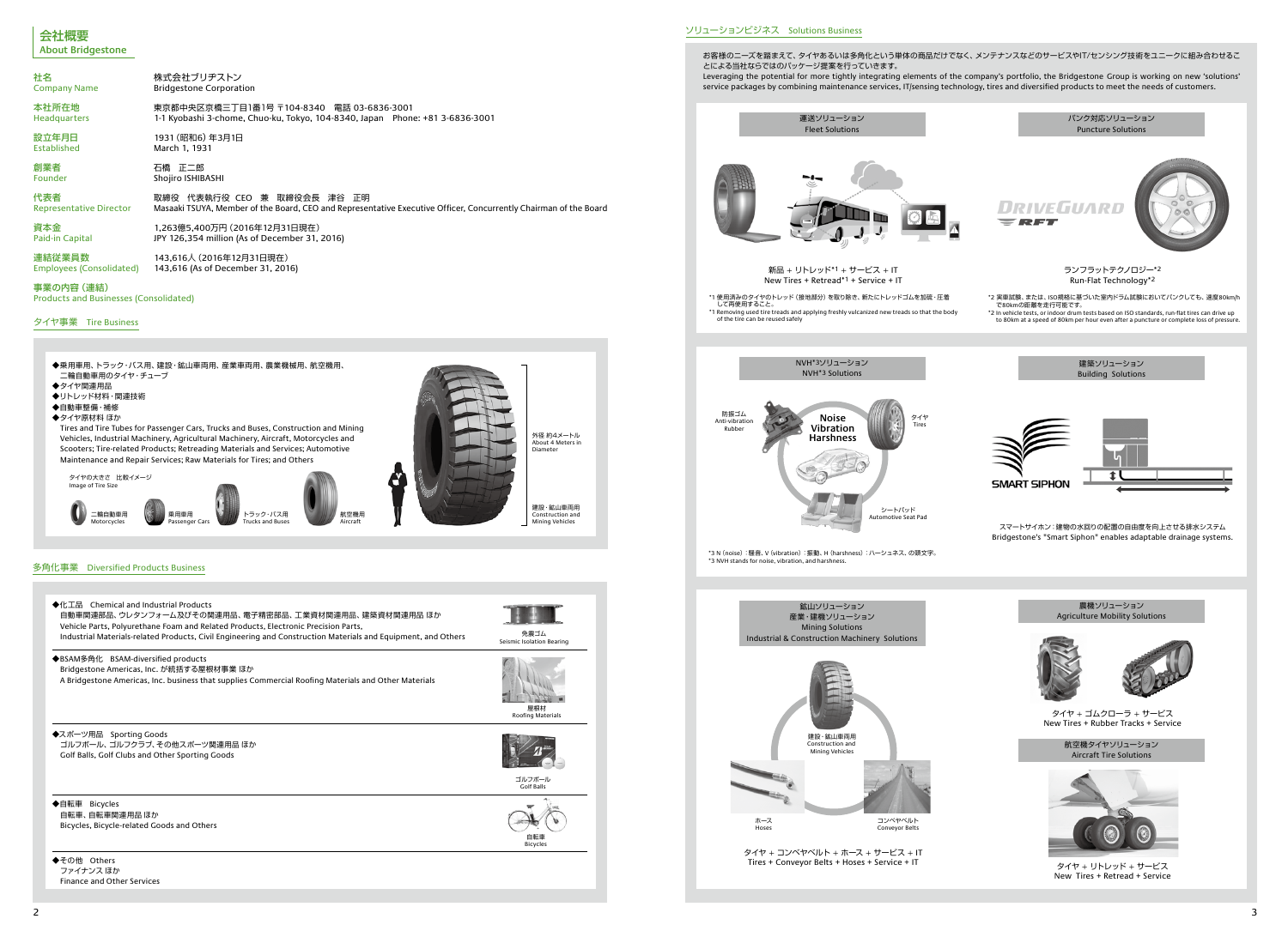| 社名                                                          | 株式会社ブリヂストン                                                                                                       |
|-------------------------------------------------------------|------------------------------------------------------------------------------------------------------------------|
| <b>Company Name</b>                                         | <b>Bridgestone Corporation</b>                                                                                   |
| 本社所在地                                                       | 東京都中央区京橋三丁目1番1号 〒104-8340 電話 03-6836-3001                                                                        |
| <b>Headquarters</b>                                         | 1-1 Kyobashi 3-chome, Chuo-ku, Tokyo, 104-8340, Japan Phone: +81 3-6836-3001                                     |
| 設立年月日                                                       | 1931 (昭和6) 年3月1日                                                                                                 |
| Established                                                 | March 1, 1931                                                                                                    |
| 創業者                                                         | 石橋 正二郎                                                                                                           |
| Founder                                                     | Shojiro ISHIBASHI                                                                                                |
| 代表者                                                         | 取締役 代表執行役 CEO 兼 取締役会長 津谷 正明                                                                                      |
| <b>Representative Director</b>                              | Masaaki TSUYA, Member of the Board, CEO and Representative Executive Officer, Concurrently Chairman of the Board |
| 資本金                                                         | 1,263億5,400万円 (2016年12月31日現在)                                                                                    |
| Paid-in Capital                                             | JPY 126,354 million (As of December 31, 2016)                                                                    |
| 連結従業員数                                                      | 143,616人 (2016年12月31日現在)                                                                                         |
| Employees (Consolidated)                                    | 143,616 (As of December 31, 2016)                                                                                |
| 事業の内容 (連結)<br><b>Products and Businesses (Consolidated)</b> |                                                                                                                  |

#### タイヤ事業 Tire Business





ソリューションビジネス Solutions Business

お客様のニーズを踏まえて、タイヤあるいは多角化という単体の商品だけでなく、メンテナンスなどのサービスやIT/センシング技術をユニークに組み合わせるこ とによる当社ならではのパッケージ提案を行っていきます。 Leveraging the potential for more tightly integrating elements of the company's portfolio, the Bridgestone Group is working on new 'solutions' service packages by combining maintenance services, IT/sensing technology, tires and diversified products to meet the needs of customers.



- 
- 
- 



### 多角化事業 Diversified Products Business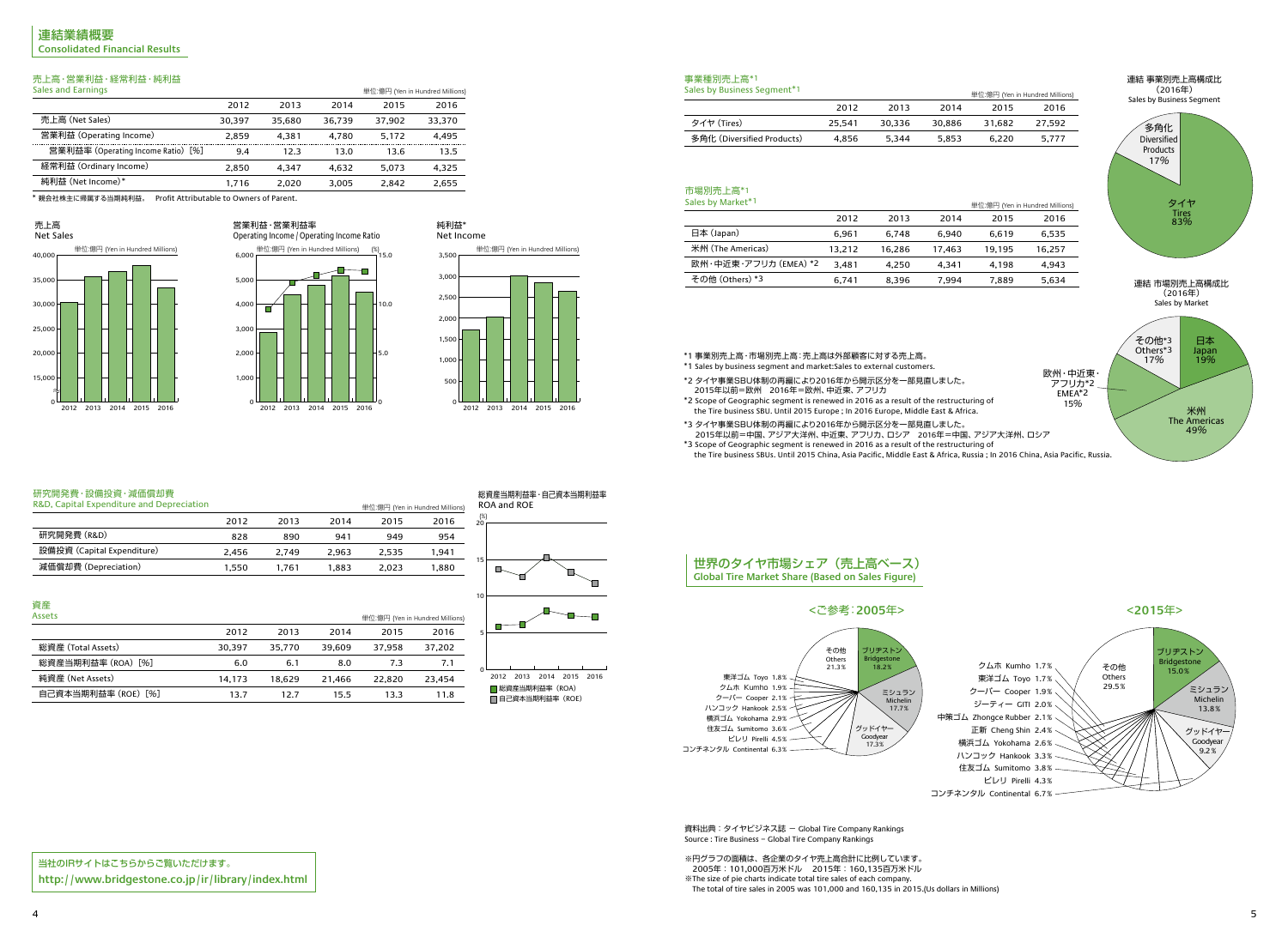

4 5

# 売上高・営業利益・経常利益・純利益

| Sales and Earnings                 |        |        |        | 単位:億円 (Yen in Hundred Millions) |        |
|------------------------------------|--------|--------|--------|---------------------------------|--------|
|                                    | 2012   | 2013   | 2014   | 2015                            | 2016   |
| 売上高 (Net Sales)                    | 30.397 | 35,680 | 36.739 | 37.902                          | 33,370 |
| 営業利益 (Operating Income)            | 2.859  | 4.381  | 4.780  | 5.172                           | 4.495  |
| 営業利益率 (Operating Income Ratio) [%] | 9.4    | 12.3   | 13.0   | 13.6                            | 13.5   |
| 経常利益 (Ordinary Income)             | 2.850  | 4.347  | 4.632  | 5.073                           | 4,325  |
| 純利益 (Net Income)*                  | 1.716  | 2.020  | 3.005  | 2.842                           | 2,655  |

# 資産



### 研究開発費・設備投資・減価償却費

| 一、一                |        |        |        |                                 |        |  |
|--------------------|--------|--------|--------|---------------------------------|--------|--|
| Assets             |        |        |        | 単位:億円 (Yen in Hundred Millions) |        |  |
|                    | 2012   | 2013   | 2014   | 2015                            | 2016   |  |
| 総資産 (Total Assets) | 30.397 | 35,770 | 39.609 | 37.958                          | 37,202 |  |
| 総資産当期利益率(ROA)[%]   | 6.0    | 6.1    | 8.0    | 7.3                             | 7.1    |  |
| 純資産 (Net Assets)   | 14.173 | 18.629 | 21.466 | 22,820                          | 23,454 |  |
| 自己資本当期利益率(ROE)[%]  | 13.7   | 12.7   | 15.5   | 13.3                            | 11.8   |  |
|                    |        |        |        |                                 |        |  |

| R&D, Capital Expenditure and Depreciation |       |       |       |       | 単位:億円 (Yen in Hundred Millions) |
|-------------------------------------------|-------|-------|-------|-------|---------------------------------|
|                                           | 2012  | 2013  | 2014  | 2015  | 2016                            |
| 研究開発費 (R&D)                               | 828   | 890   | 941   | 949   | 954                             |
| 設備投資 (Capital Expenditure)                | 2.456 | 2.749 | 2.963 | 2.535 | 1.941                           |
| 減価償却費 (Depreciation)                      | 1.550 | 1.761 | 1.883 | 2.023 | 1,880                           |







0 ■総資産当期利益率 (ROA) ■ 自己資本当期利益率 (ROE) 2012 2013 2014 2015 2016

| odics by business sequient + |        |        |        | 単位:億円 |
|------------------------------|--------|--------|--------|-------|
|                              | 2012   | 2013   | 2014   | 20    |
| タイヤ (Tires)                  | 25.541 | 30.336 | 30.886 | 31,6  |
| 多角化 (Diversified Products)   | 4.856  | 5.344  | 5.853  | 6,2   |
|                              |        |        |        |       |

| <b>JUILS DY IVIGHTLE</b> |        |        |        | 里位:億円 |
|--------------------------|--------|--------|--------|-------|
|                          | 2012   | 2013   | 2014   | 20    |
| 日本 (Japan)               | 6,961  | 6,748  | 6.940  | 6,6   |
| 米州 (The Americas)        | 13,212 | 16,286 | 17.463 | 19,1  |
| 欧州・中近東・アフリカ (EMEA) *2    | 3,481  | 4.250  | 4.341  | 4,1   |
| その他 (Others) *3          | 6,741  | 8,396  | 7,994  | 7,8   |
|                          |        |        |        |       |



資料出典: タイヤビジネス誌 - Global Tire Company Rankings Source : Tire Business − Global Tire Company Rankings

\*1 事業別売上高・市場別売上高:売上高は外部顧客に対する売上高。



- \*1 Sales by business segment and market:Sales to external customers.
- \*2 タイヤ事業SBU体制の再編により2016年から開示区分を一部見直しました。 2015年以前=欧州 2016年=欧州、中近東、アフリカ
- \*2 Scope of Geographic segment is renewed in 2016 as a result of the restructuring of
- the Tire business SBU. Until 2015 Europe ; In 2016 Europe, Middle East & Africa.
- \*3 タイヤ事業SBU体制の再編により2016年から開示区分を一部見直しました。 2015年以前=中国、アジア大洋州、中近東、アフリカ、ロシア 2016年=中国、アジア大洋州、ロシア
- \*3 Scope of Geographic segment is renewed in 2016 as a result of the restructuring of the Tire business SBUs. Until 2015 China, Asia Pacific, Middle East & Africa, Russia ; In 2016 China, Asia Pacific, Russia.

\* 親会社株主に帰属する当期純利益。 Profit Attributable to Owners of Parent.

### 売上高

#### 純利益\* Net Income

#### 事業種別売上高\*1 Sales by Business Segment\*1

#### 市場別売上高\*1 Sales by Market\*1

当社のIRサイトはこちらからご覧いただけます。 **http://www.bridgestone.co.jp/ir/library/index.html**

# 世界のタイヤ市場シェア(売上高ベース) **Global Tire Market Share (Based on Sales Figure)**

中策ゴム Zhongce Rubber 2.1% コンチネンタル Continental 6.7%



※円グラフの面積は、各企業のタイヤ売上高合計に比例しています。 2005年:101,000百万米ドル 2015年:160,135百万米ドル

※The size of pie charts indicate total tire sales of each company.

The total of tire sales in 2005 was 101,000 and 160,135 in 2015.(Us dollars in Millions)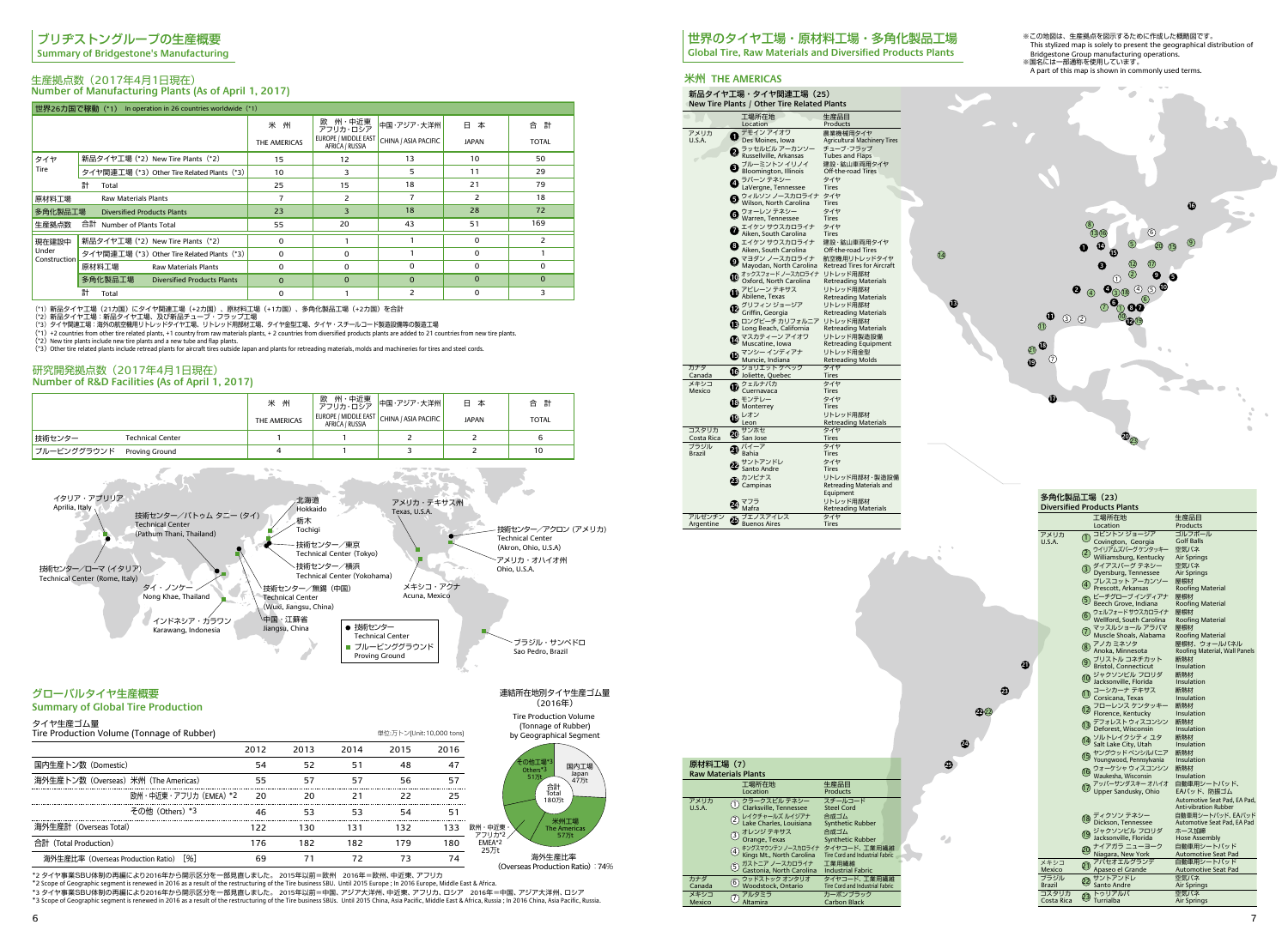**13**

14



**25**

 $\mathcal{L}_{\mathcal{A}}$ 

**24**

**23**

**21**

**22** 22

(\*3)Other tire related plants include retread plants for aircraft tires outside Japan and plants for retreading materials, molds and machineries for tires and steel cords.

# ブリヂストングループの生産概要

**Summary of Bridgestone's Manufacturing**

### 生産拠点数(2017年4月1日現在) **Number of Manufacturing Plants (As of April 1, 2017)**

## 研究開発拠点数(2017年4月1日現在) **Number of R&D Facilities (As of April 1, 2017)**

|                                    | 世界26力国で稼動 (*1) In operation in 26 countries worldwide (*1) |              |                                         |                      |              |              |
|------------------------------------|------------------------------------------------------------|--------------|-----------------------------------------|----------------------|--------------|--------------|
|                                    |                                                            | 米州           | 州・中近東<br>欧<br>アフリカ・ロシア                  | 中国・アジア・大洋州           | 日本           | 合 計          |
|                                    |                                                            | THE AMERICAS | EUROPE / MIDDLE EAST<br>AFRICA / RUSSIA | CHINA / ASIA PACIFIC | <b>JAPAN</b> | <b>TOTAL</b> |
| タイヤ                                | 新品タイヤ工場 (*2) New Tire Plants (*2)                          | 15           | $12 \overline{ }$                       | 13                   | 10           | 50           |
| Tire                               | タイヤ関連工場 (*3) Other Tire Related Plants (*3)                | 10           | 3                                       | 5                    | 11           | 29           |
|                                    | 計<br>Total                                                 | 25           | 15                                      | 18                   | 21           | 79           |
| 原材料工場                              | <b>Raw Materials Plants</b>                                | 7            | 2                                       |                      | 2            | 18           |
| 多角化製品工場                            | <b>Diversified Products Plants</b>                         | 23           | 3                                       | 18                   | 28           | 72           |
| 生産拠点数<br>合計 Number of Plants Total |                                                            | 55           | 20                                      | 43                   | 51           | 169          |
| 現在建設中                              | 新品タイヤ工場 (*2) New Tire Plants (*2)                          | $\Omega$     |                                         |                      | $\Omega$     | 2            |
| Under<br>Construction              | タイヤ関連工場 (*3) Other Tire Related Plants (*3)                | 0            | $\Omega$                                |                      | $\Omega$     |              |
|                                    | 原材料工場<br><b>Raw Materials Plants</b>                       | $\Omega$     | $\Omega$                                | $\Omega$             | $\Omega$     | $\Omega$     |
|                                    | 多角化製品工場<br><b>Diversified Products Plants</b>              | $\mathbf{0}$ | $\Omega$                                | $\Omega$             | $\Omega$     | $\Omega$     |
|                                    | 計<br>Total                                                 | $\Omega$     |                                         | $\overline{2}$       | 0            | 3            |

(\*1)新品タイヤ工場(21カ国)にタイヤ関連工場(+2カ国)、原材料工場(+1カ国)、多角化製品工場(+2カ国)を合計<br>(\*2)新品タイヤ工場:海沿のタイヤ工場、及び新品チューブ・フラップ工場<br>(\*3)タイヤ関連工場:海外の航空機用リトレッドタイヤ工場、リトレッド用部材工場、タイヤ金型工場、タイヤ・スチールコード製造設備等の製造工場

(\*1) +2 countries from other tire related plants, +1 country from raw materials plants, + 2 countries from diversified products plants are added to 21 countries from new tire plants.<br>(\*2) New tire plants include new tire p

|             |                         | 米 州          |                        | 欧 州・中近東 <mark>中国・アジア・大洋州</mark><br>アフリカ・ロシア <sup>中国・アジア・大洋州</sup> | 日本           | 合 計          |
|-------------|-------------------------|--------------|------------------------|-------------------------------------------------------------------|--------------|--------------|
|             |                         | THE AMERICAS | <b>AFRICA / RUSSIA</b> | EUROPE / MIDDLE EAST CHINA / ASIA PACIFIC                         | <b>JAPAN</b> | <b>TOTAL</b> |
| 技術センター      | <b>Technical Center</b> |              |                        |                                                                   |              | 6            |
| ブルービンググラウンド | Proving Ground          |              |                        |                                                                   |              | 10           |

## グローバルタイヤ生産概要

#### **Summary of Global Tire Production**

タイヤ生産ゴム量

# 米州 **THE AMERICAS**

|                |     | 新品タイヤ工場・タイヤ関連工場 (25)<br>New Tire Plants / Other Tire Related Plants |                                                 |  |
|----------------|-----|---------------------------------------------------------------------|-------------------------------------------------|--|
|                |     | 工場所在地<br>Location                                                   | 生産品目<br>Products                                |  |
|                |     |                                                                     |                                                 |  |
| アメリカ<br>U.S.A. |     | デモイン アイオワ<br>Des Moines, Iowa                                       | 農業機械用タイヤ<br><b>Agricultural Machinery Tires</b> |  |
|                |     |                                                                     | チューブ・フラップ                                       |  |
|                | 2   | ラッセルビル アーカンソー<br>Russellville, Arkansas                             |                                                 |  |
|                |     | ブルーミントン イリノイ                                                        | Tubes and Flaps<br>建設・鉱山車両用タイヤ                  |  |
|                | Đ   | Bloomington, Illinois                                               | Off-the-road Tires                              |  |
|                | A   | ラバーン テネシー                                                           | タイヤ                                             |  |
|                |     | LaVergne, Tennessee                                                 | <b>Tires</b>                                    |  |
|                |     | ウィルソン ノースカロライナ                                                      | タイヤ                                             |  |
|                |     | Wilson, North Carolina                                              | Tires                                           |  |
|                | G)  | ウォーレン テネシー                                                          | タイヤ                                             |  |
|                |     | Warren, Tennessee                                                   | <b>Tires</b>                                    |  |
|                |     | エイケン サウスカロライナ                                                       | タイヤ                                             |  |
|                |     | Aiken, South Carolina                                               | <b>Tires</b>                                    |  |
|                |     | 1イケン サウスカロライナ                                                       | 建設・鉱山車両用タイヤ                                     |  |
|                |     | Aiken, South Carolina                                               | Off-the-road Tires                              |  |
|                | Ø   | マヨダン ノースカロライナ                                                       | 航空機用リトレッドタイヤ                                    |  |
|                |     | Mayodan, North Carolina                                             | <b>Retread Tires for Aircraft</b>               |  |
|                |     | 1ックスフォードノースカロライナ                                                    | リトレッド用部材                                        |  |
|                |     | Oxford, North Carolina                                              | <b>Retreading Materials</b>                     |  |
|                |     | 1 アビレーン テキサス                                                        | リトレッド用部材                                        |  |
|                |     | Abilene, Texas                                                      | <b>Retreading Materials</b>                     |  |
|                |     | グリフィン ジョージア                                                         | リトレッド用部材                                        |  |
|                |     | Griffin, Georgia                                                    | Retreading Materials                            |  |
|                |     | <b>1</b> ロングビーチ カリフォルニア                                             | リトレッド用部材                                        |  |
|                |     | Long Beach, California                                              | Retreading Materials                            |  |
|                | Ø   | マスカティーン アイオワ                                                        | リトレッド用製造設備                                      |  |
|                |     | Muscatine, Iowa                                                     | Retreading Equipment                            |  |
|                |     | ❶ マンシー インディアナ<br>Muncie, Indiana                                    | リトレッド用金型                                        |  |
|                |     |                                                                     | <b>Retreading Molds</b>                         |  |
| カナダ            |     | <b>←</b> ジョリエット ケベック<br>● Joliette, Quebec                          | タイヤ                                             |  |
| Canada         |     |                                                                     | <b>Tires</b>                                    |  |
| メキシコ           | œ   | クェルナバカ                                                              | タイヤ                                             |  |
| Mexico         |     | Cuernavaca                                                          | Tires                                           |  |
|                | ®   | モンテレー                                                               | タイヤ                                             |  |
|                |     | Monterrey                                                           | Tires                                           |  |
|                |     | レオン                                                                 | リトレッド用部材                                        |  |
|                |     | <sup>L</sup> eon                                                    | Retreading Materials                            |  |
| コスタリカ          | ☎   | サンホセ                                                                | タイヤ                                             |  |
| Costa Rica     |     | San Jose                                                            | Tires                                           |  |
| ブラジル           | Ð   | バイーア                                                                | タイヤ                                             |  |
| <b>Brazil</b>  |     | Bahia                                                               | <b>Tires</b>                                    |  |
|                | 22  | サントアンドレ                                                             | タイヤ                                             |  |
|                |     | Santo Andre                                                         | <b>Tires</b>                                    |  |
|                | Œ   | カンピナス                                                               | リトレッド用部材・製造設備                                   |  |
|                |     | Campinas                                                            | Retreading Materials and                        |  |
|                |     |                                                                     | Equipment                                       |  |
|                | 24) | マフラ                                                                 | リトレッド用部材                                        |  |
|                |     | Mafra                                                               | Retreading Materials                            |  |
| アルゼンチン         | Ø   | ブエノスアイレス                                                            | タイヤ                                             |  |
| Argentine      |     | <b>Buenos Aires</b>                                                 | Tires                                           |  |

海外生産比率 (Overseas Production Ratio): 74%

**米州工**  $577$ 

by Geograp



| Tire Production Volume (Tonnage of Rubber)               |      |      |      | 単位:万トン(Unit:10,000 tons) |      |                                        |
|----------------------------------------------------------|------|------|------|--------------------------|------|----------------------------------------|
|                                                          | 2012 | 2013 | 2014 | 2015                     | 2016 |                                        |
| 国内生産トン数 (Domestic)                                       | 54   | 52   | 51   | 48                       | 47   |                                        |
| 海外生産トン数 (Overseas) 米州 (The Americas)                     | 55   | 57   | 57   | 56                       | 57   |                                        |
| 欧州・中沂東・アフリカ (EMEA) *2                                    | - 20 | 20   |      | 22                       | 25   |                                        |
| その他 (Others) *3                                          | 46   | 53   | 53   | 54                       | 51   |                                        |
| 海外生産計 (Overseas Total)                                   |      | 130. | 131  | 132                      | 133  | 欧州・中近東                                 |
| 合計 (Total Production)                                    | 176  | 182  | 182  | 179                      | 180  | アフリカ*2 /<br>EMEA*2<br>25 <sub>πt</sub> |
| $\lceil 96 \rceil$<br>海外生産比率 (Overseas Production Ratio) | 69   |      |      | 73                       | 74   |                                        |

| 原材料工場(7)                    |                                                                                                                                                                                                                                                                                                            |                                                                                                                                                                                     |  |  |  |  |  |
|-----------------------------|------------------------------------------------------------------------------------------------------------------------------------------------------------------------------------------------------------------------------------------------------------------------------------------------------------|-------------------------------------------------------------------------------------------------------------------------------------------------------------------------------------|--|--|--|--|--|
| <b>Raw Materials Plants</b> |                                                                                                                                                                                                                                                                                                            |                                                                                                                                                                                     |  |  |  |  |  |
|                             | 工場所在地<br>Location                                                                                                                                                                                                                                                                                          | 生産品目<br>Products                                                                                                                                                                    |  |  |  |  |  |
| アメリカ<br>U.S.A.              | クラークスビル テネシー<br>$\left(1\right)$<br>Clarksville, Tennessee<br>レイクチャールズ ルイジアナ<br>$\left( 2\right)$<br>Lake Charles, Louisiana<br>オレンジ テキサス<br>$\left(3\right)$<br>Orange, Texas<br>キングスマウンテン ノースカロライナ<br>$\left( 4\right)$<br>Kings Mt., North Carolina<br>ガストニア ノースカロライナ<br>5.<br>Gastonia, North Carolina | スチールコード<br>Steel Cord<br>合成ゴム<br><b>Synthetic Rubber</b><br>合成ゴム<br><b>Synthetic Rubber</b><br>タイヤコード、工業用繊維<br>Tire Cord and Industrial Fabric<br>工業用繊維<br><b>Industrial Fabric</b> |  |  |  |  |  |
| カナダ<br>Canada               | ウッドストック オンタリオ<br>6 <sub>o</sub><br>Woodstock, Ontario                                                                                                                                                                                                                                                      | タイヤコード、工業用繊維<br>Tire Cord and Industrial Fabric                                                                                                                                     |  |  |  |  |  |
| メキシコ<br>Mexico              | アルタミラ<br>Altamira                                                                                                                                                                                                                                                                                          | カーボンブラック<br><b>Carbon Black</b>                                                                                                                                                     |  |  |  |  |  |

# 世界のタイヤ工場・原材料工場・多角化製品工場

**Global Tire, Raw Materials and Diversified Products Plants**

| 多角化製品工場(23)    |                                                       |                                                 |  |  |  |  |  |  |
|----------------|-------------------------------------------------------|-------------------------------------------------|--|--|--|--|--|--|
|                | <b>Diversified Products Plants</b>                    |                                                 |  |  |  |  |  |  |
|                | 工場所在地                                                 | 生産品目                                            |  |  |  |  |  |  |
|                | Location                                              | Products                                        |  |  |  |  |  |  |
| アメリカ           | コビントン ジョージア<br>$_{\tiny\textcircled{\scriptsize{1}}}$ | ゴルフボール                                          |  |  |  |  |  |  |
| U.S.A.         | Covington, Georgia                                    | <b>Golf Balls</b>                               |  |  |  |  |  |  |
|                | ウイリアムズバーグ ケンタッキー<br>Williamsburg, Kentucky            | 空気バネ                                            |  |  |  |  |  |  |
|                | ダイアスバーグ テネシー                                          | Air Springs<br>空気バネ                             |  |  |  |  |  |  |
|                | Dyersburg, Tennessee                                  | Air Springs                                     |  |  |  |  |  |  |
|                | 4 プレスコット アーカンソー<br>4 Prescott, Arkansas               | 屋根材                                             |  |  |  |  |  |  |
|                |                                                       | Roofing Material                                |  |  |  |  |  |  |
|                | ビーチグローブインディアナ<br>(5)                                  | 屋根材                                             |  |  |  |  |  |  |
|                | Beech Grove, Indiana                                  | Roofing Material                                |  |  |  |  |  |  |
|                | ウェルフォードサウスカロライナ<br>Wellford, South Carolina           | 屋根材<br>Roofing Material                         |  |  |  |  |  |  |
|                | マッスルショール アラバマ                                         | 屋根材                                             |  |  |  |  |  |  |
|                | 7<br>Muscle Shoals, Alabama                           | Roofing Material                                |  |  |  |  |  |  |
|                | 8 アノカ ミネソタ<br>8 Anoka, Minnesota                      | 屋根材、ウォールパネル                                     |  |  |  |  |  |  |
|                |                                                       | Roofing Material, Wall Panels                   |  |  |  |  |  |  |
|                | ⑨ ブリストル コネチカット<br>■ Bristol, Connecticut              | 断熱材                                             |  |  |  |  |  |  |
|                |                                                       | Insulation                                      |  |  |  |  |  |  |
|                | 10 ジャクソンビル フロリダ<br>10 Jacksonville, Florida           | 断熱材<br>Insulation                               |  |  |  |  |  |  |
|                | コーシカーナ テキサス                                           | 断熱材                                             |  |  |  |  |  |  |
|                | $\textcircled{\tiny 1}$<br>Corsicana, Texas           | Insulation                                      |  |  |  |  |  |  |
|                | 12 フローレンス ケンタッキー                                      | 断熱材                                             |  |  |  |  |  |  |
|                |                                                       | Insulation                                      |  |  |  |  |  |  |
|                | 13 デフォレスト ウィスコンシン<br>13 Deforest, Wisconsin           | 断熱材                                             |  |  |  |  |  |  |
|                |                                                       | Insulation<br>断熱材                               |  |  |  |  |  |  |
|                | ①<br>① Salt Lake グシティ ユタ<br>Salt Lake City, Utah      | Insulation                                      |  |  |  |  |  |  |
|                | ヤングウッド ペンシルバニア                                        | 断熱材                                             |  |  |  |  |  |  |
|                | The Youngwood, Pennsylvania                           | Insulation                                      |  |  |  |  |  |  |
|                | 16 ウォーケシャ ウィスコンシン<br>Waukesha, Wisconsin              | 断熱材                                             |  |  |  |  |  |  |
|                |                                                       | Insulation                                      |  |  |  |  |  |  |
|                | アッパーサンダスキー オハイオ<br>(17<br>Upper Sandusky, Ohio        | 自動車用シートバッド、<br>EAパッド、防振ゴム                       |  |  |  |  |  |  |
|                |                                                       | Automotive Seat Pad, EA Pad,                    |  |  |  |  |  |  |
|                |                                                       | <b>Anti-vibration Rubber</b>                    |  |  |  |  |  |  |
|                | ディクソン テネシー<br>(18<br>Dickson, Tennessee               | 自動車用シートバッド、EAパッド<br>Automotive Seat Pad, EA Pad |  |  |  |  |  |  |
|                | ジャクソンビル フロリダ                                          | ホース加締                                           |  |  |  |  |  |  |
|                | $\overline{19}$<br>Jacksonville, Florida              | Hose Assembly                                   |  |  |  |  |  |  |
|                | 20 ナイアガラ ニューヨーク                                       | 自動車用シートバッド                                      |  |  |  |  |  |  |
|                | Niagara, New York                                     | <b>Automotive Seat Pad</b>                      |  |  |  |  |  |  |
| メキシコ           | 2) アパセオエルグランデ<br>4) Apaseo el Grande                  | 自動車用シートパッド                                      |  |  |  |  |  |  |
| Mexico         |                                                       | <b>Automotive Seat Pad</b><br>空気バネ              |  |  |  |  |  |  |
| ブラジル<br>Brazil | 2 サントアンドレ                                             | Air Springs                                     |  |  |  |  |  |  |
| コスタリカ          | トゥリアルバ                                                | 空気バネ                                            |  |  |  |  |  |  |
| Costa Rica     | 23)<br>Turrialba                                      | Air Springs                                     |  |  |  |  |  |  |
|                |                                                       |                                                 |  |  |  |  |  |  |

※この地図は、生産拠点を図示するために作成した概略図です。 This stylized map is solely to present the geographical distribution of Bridgestone Group manufacturing operations. ※国名には一部通称を使用しています。 A part of this map is shown in commonly used terms.

連結所在地別タイヤ生産ゴム量 (2016年) Tire Production Volume

| (Tonnage of Rubber)<br>Geographical Segment                                  |  |
|------------------------------------------------------------------------------|--|
| その他工場*3<br>国内工場<br>Others*3<br>Japan<br>51万t<br>47万t<br>合計<br>Total<br>180万t |  |

\*2 タイヤ事業SBU体制の再編により2016年から開示区分を一部見直しました。 2015年以前=欧州 2016年=欧州、中近東、アフリカ

\*2 Scope of Geographic segment is renewed in 2016 as a result of the restructuring of the Tire business SBU. Until 2015 Europe ; In 2016 Europe, Middle East & Africa.

\*3 タイヤ事業SBU体制の再編により2016年から開示区分を一部見直しました。 2015年以前=中国、アジア大洋州、中近東、アフリカ、ロシア 2016年=中国、アジア大洋州、ロシア

\*3 Scope of Geographic segment is renewed in 2016 as a result of the restructuring of the Tire business SBUs. Until 2015 China, Asia Pacific, Middle East & Africa, Russia ; In 2016 China, Asia Pacific, Russia.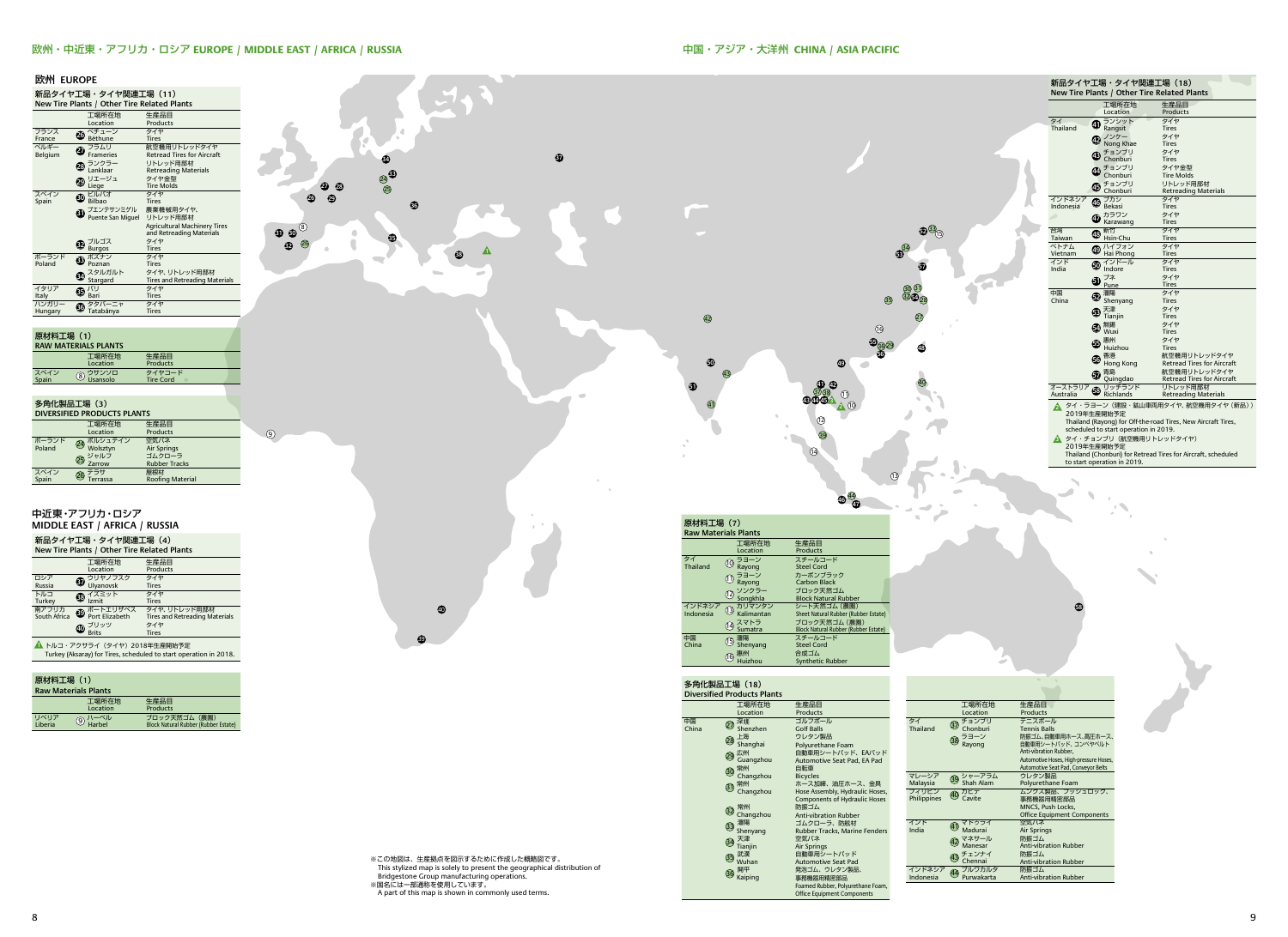**58**



#### 欧州・中近東・アフリカ・ロシア **EUROPE / MIDDLE EAST / AFRICA / RUSSIA**

● Shenyang 15 瀋陽 16 惠州<br>Huizhou

| $\bm{\mathbb{O}}$ $\sum_{\text{Brits}}$ | タイヤ<br>Tires |  |
|-----------------------------------------|--------------|--|
| ▲ トルコ・アクサライ (タイヤ) 2018年生産開始予定           |              |  |

**▲ トルコ・アクサライ(タイヤ)2018年生産開始予定**<br>Turkey (Aksaray) for Tires, scheduled to start operation in 2018.

スチールコード<br>Steel Cord Synthetic Rubber 合成ゴム

| 原材料工場 (1)<br><b>Raw Materials Plants</b> |                                                          |                                                       |  |  |  |  |
|------------------------------------------|----------------------------------------------------------|-------------------------------------------------------|--|--|--|--|
|                                          | 工場所在地<br>Location                                        | 生産品目<br>Products                                      |  |  |  |  |
| リベリア<br>Liberia                          | $\circledS$ /\ $\neg\stackrel{\sim}{\sim}\circ$ l $\neg$ | ブロック天然ゴム (農園)<br>Block Natural Rubber (Rubber Estate) |  |  |  |  |



China 中国

中国<br>China

2019年生産開始予定 Thailand (Chonburi) for Retread Tires for Aircraft, scheduled to start operation in 2019.

| 新品タイヤ工場・タイヤ関連工場(18)<br>New Tire Plants / Other Tire Related Plants                                                                                                                               |    |                                |                                   |  |  |  |
|--------------------------------------------------------------------------------------------------------------------------------------------------------------------------------------------------|----|--------------------------------|-----------------------------------|--|--|--|
|                                                                                                                                                                                                  |    | 工場所在地                          | 生産品目                              |  |  |  |
|                                                                                                                                                                                                  |    | Location                       | Products                          |  |  |  |
| タイ                                                                                                                                                                                               | ❹  | ランシット                          | タイヤ                               |  |  |  |
| Thailand                                                                                                                                                                                         |    | Rangsit                        | <b>Tires</b>                      |  |  |  |
|                                                                                                                                                                                                  | ŒА | ノンケー                           | タイヤ                               |  |  |  |
|                                                                                                                                                                                                  |    | Nong Khae                      | Tires                             |  |  |  |
|                                                                                                                                                                                                  | 43 | チョンブリ<br>Chonburi              | タイヤ<br><b>Tires</b>               |  |  |  |
|                                                                                                                                                                                                  |    |                                | タイヤ金型                             |  |  |  |
|                                                                                                                                                                                                  |    | チョンブリ<br>Chonburi              | <b>Tire Molds</b>                 |  |  |  |
|                                                                                                                                                                                                  |    | チョンブリ                          | リトレッド用部材                          |  |  |  |
|                                                                                                                                                                                                  | ௵  | Chonburi                       | <b>Retreading Materials</b>       |  |  |  |
| インドネシア                                                                                                                                                                                           |    |                                | タイヤ                               |  |  |  |
| Indonesia                                                                                                                                                                                        |    | $\overline{\mathbf{O}}$ Dekasi | <b>Tires</b>                      |  |  |  |
|                                                                                                                                                                                                  | Œ  | カラワン                           | タイヤ                               |  |  |  |
|                                                                                                                                                                                                  |    | Karawang                       | <b>Tires</b>                      |  |  |  |
| 台湾                                                                                                                                                                                               | ⊕  | 新竹                             | タイヤ                               |  |  |  |
| Taiwan                                                                                                                                                                                           |    | Hsin-Chu                       | <b>Tires</b>                      |  |  |  |
| ベトナム                                                                                                                                                                                             | ₾  | ハイフォン                          | タイヤ<br><b>Tires</b>               |  |  |  |
| Vietnam<br>インド                                                                                                                                                                                   |    | Hai Phong<br>インドール             | タイヤ                               |  |  |  |
| India                                                                                                                                                                                            | ⅏  | Indore                         | Tires                             |  |  |  |
|                                                                                                                                                                                                  |    | プネ                             | タイヤ                               |  |  |  |
|                                                                                                                                                                                                  | 60 | Pune                           | Tires                             |  |  |  |
| 中国                                                                                                                                                                                               |    | 瀋陽                             | タイヤ                               |  |  |  |
| China                                                                                                                                                                                            | œ  | Shenyang                       | <b>Tires</b>                      |  |  |  |
|                                                                                                                                                                                                  | ®  | 天津                             | タイヤ                               |  |  |  |
|                                                                                                                                                                                                  |    | Tianjin                        | <b>Tires</b>                      |  |  |  |
|                                                                                                                                                                                                  | 64 | 無錫                             | タイヤ                               |  |  |  |
|                                                                                                                                                                                                  |    | Wuxi                           | Tires                             |  |  |  |
|                                                                                                                                                                                                  | Œ  | 惠州<br>Huizhou                  | タイヤ<br>Tires                      |  |  |  |
|                                                                                                                                                                                                  |    | 香港                             | 航空機用リトレッドタイヤ                      |  |  |  |
|                                                                                                                                                                                                  | œ  | Hong Kong                      | <b>Retread Tires for Aircraft</b> |  |  |  |
|                                                                                                                                                                                                  |    | 青島                             | 航空機用リトレッドタイヤ                      |  |  |  |
|                                                                                                                                                                                                  | டு | Quingdao                       | Retread Tires for Aircraft        |  |  |  |
| オーストラリア                                                                                                                                                                                          |    | リッチランド                         | リトレッド用部材                          |  |  |  |
| Australia                                                                                                                                                                                        | ⊕  | Richlands                      | <b>Retreading Materials</b>       |  |  |  |
| タイ・ラヨーン (建設・鉱山車両用タイヤ、航空機用タイヤ (新品))<br>2<br>2019年生産開始予定<br>Thailand (Rayong) for Off-the-road Tires, New Aircraft Tires,<br>scheduled to start operation in 2019.<br>タイ・チョンブリ (航空機用リトレッドタイヤ)<br>Δ |    |                                |                                   |  |  |  |
| 2019年生産開始予定                                                                                                                                                                                      |    |                                |                                   |  |  |  |

多角化製品工場(**18**) **Diversified Products Plants**

|       | <b>ン/JIDEXHH土物('3)</b><br><b>Diversified Products Plants</b> |                                     |  |              |                                     |                                        |
|-------|--------------------------------------------------------------|-------------------------------------|--|--------------|-------------------------------------|----------------------------------------|
|       |                                                              |                                     |  |              |                                     |                                        |
|       | 工場所在地                                                        | 生産品目                                |  |              | 工場所在地                               | 生産品目                                   |
|       | Location                                                     | Products                            |  |              | Location                            | Products                               |
| 中国    | 深圳<br>$\widehat{\mathcal{Q}}$                                | ゴルフボール                              |  | タイ           | チョンブリ<br>37                         | テニスボール                                 |
| China | Shenzhen                                                     | <b>Golf Balls</b>                   |  | Thailand     | Chonburi                            | <b>Tennis Balls</b>                    |
|       | 上海<br>28)                                                    | ウレタン製品                              |  |              | ラヨーン<br>38                          | 防振ゴム、自動車用ホース、高圧ホース、                    |
|       | Shanghai                                                     | Polyurethane Foam                   |  |              | Rayong                              | 自動車用シートバッド、コンベヤベルト                     |
|       | 広州<br>29                                                     | 自動車用シートバッド、EAバッド                    |  |              |                                     | Anti-vibration Rubber.                 |
|       | Guangzhou                                                    | Automotive Seat Pad, EA Pad         |  |              |                                     | Automotive Hoses, High-pressure Hoses, |
|       | 常州<br>$\circledcirc$                                         | 自転車                                 |  |              |                                     | Automotive Seat Pad, Conveyor Belts    |
|       | Changzhou                                                    | <b>Bicycles</b>                     |  | マレーシア        | シャーアラム<br>39                        | ウレタン製品                                 |
|       | 常州<br>$\circledcirc$                                         | ホース加締、油圧ホース、金具                      |  | Malaysia     | Shah Alam                           | Polyurethane Foam                      |
|       | Changzhou                                                    | Hose Assembly, Hydraulic Hoses,     |  | フィリピン        | カビテ<br>40                           | ムンクス製品、プッシュロック、                        |
|       |                                                              | Components of Hydraulic Hoses       |  | Philippines  | Cavite                              | 事務機器用精密部品                              |
|       | 常州<br>32                                                     | 防振ゴム                                |  |              |                                     | MNCS, Push Locks,                      |
|       | Changzhou                                                    | <b>Anti-vibration Rubber</b>        |  |              |                                     | <b>Office Equipment Components</b>     |
|       | 瀋陽<br>$\circled{3}$                                          | ゴムクローラ、防舷材                          |  | インド<br>India | マドゥライ<br>41<br>Madurai              | 空気バネ                                   |
|       | Shenyang                                                     | Rubber Tracks, Marine Fenders       |  |              |                                     | Air Springs                            |
|       | 天津<br>$\overline{34}$                                        | 空気バネ                                |  |              | マネサール<br>$\overline{42}$<br>Manesar | 防振ゴム<br><b>Anti-vibration Rubber</b>   |
|       | Tianjin<br>武漢                                                | Air Springs<br>自動車用シートパッド           |  |              |                                     | 防振ゴム                                   |
|       | ශු<br>Wuhan                                                  |                                     |  |              | チェンナイ<br>(43)<br>Chennai            | <b>Anti-vibration Rubber</b>           |
|       | 開平                                                           | Automotive Seat Pad<br>発泡ゴム、ウレタン製品、 |  | インドネシア       | プルワカルタ                              | 防振ゴム                                   |
|       | ශි<br>Kaiping                                                | 事務機器用精密部品                           |  | Indonesia    | 44<br>Purwakarta                    | <b>Anti-vibration Rubber</b>           |
|       |                                                              | Foamed Rubber, Polyurethane Foam,   |  |              |                                     |                                        |
|       |                                                              | <b>Office Equipment Components</b>  |  |              |                                     |                                        |
|       |                                                              |                                     |  |              |                                     |                                        |
|       |                                                              |                                     |  |              |                                     |                                        |

※この地図は、生産拠点を図示するために作成した概略図です。 This stylized map is solely to present the geographical distribution of Bridgestone Group manufacturing operations. ※国名には一部通称を使用しています。

A part of this map is shown in commonly used terms.

 $\bullet$